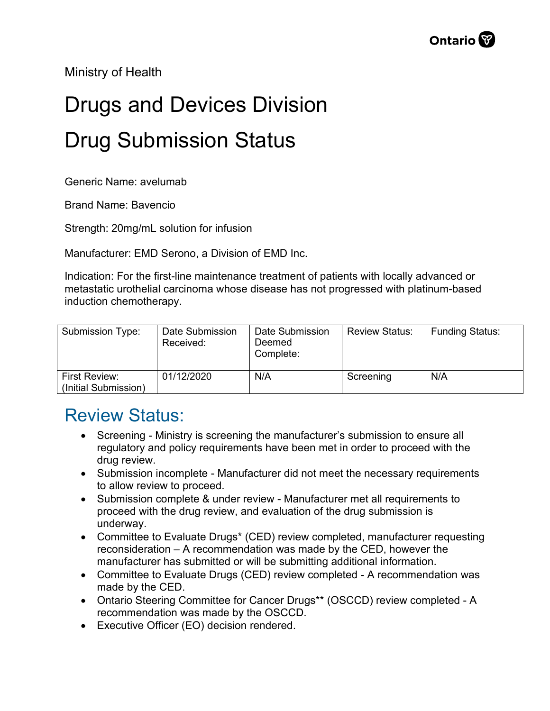Ministry of Health

## Drugs and Devices Division Drug Submission Status

Generic Name: avelumab

Brand Name: Bavencio

Strength: 20mg/mL solution for infusion

Manufacturer: EMD Serono, a Division of EMD Inc.

Indication: For the first-line maintenance treatment of patients with locally advanced or metastatic urothelial carcinoma whose disease has not progressed with platinum-based induction chemotherapy.

| Submission Type:                      | Date Submission<br>Received: | Date Submission<br>Deemed<br>Complete: | <b>Review Status:</b> | <b>Funding Status:</b> |
|---------------------------------------|------------------------------|----------------------------------------|-----------------------|------------------------|
| First Review:<br>(Initial Submission) | 01/12/2020                   | N/A                                    | Screening             | N/A                    |

## Review Status:

- Screening Ministry is screening the manufacturer's submission to ensure all regulatory and policy requirements have been met in order to proceed with the drug review.
- Submission incomplete Manufacturer did not meet the necessary requirements to allow review to proceed.
- Submission complete & under review Manufacturer met all requirements to proceed with the drug review, and evaluation of the drug submission is underway.
- Committee to Evaluate Drugs\* (CED) review completed, manufacturer requesting reconsideration – A recommendation was made by the CED, however the manufacturer has submitted or will be submitting additional information.
- Committee to Evaluate Drugs (CED) review completed A recommendation was made by the CED.
- Ontario Steering Committee for Cancer Drugs\*\* (OSCCD) review completed A recommendation was made by the OSCCD.
- Executive Officer (EO) decision rendered.